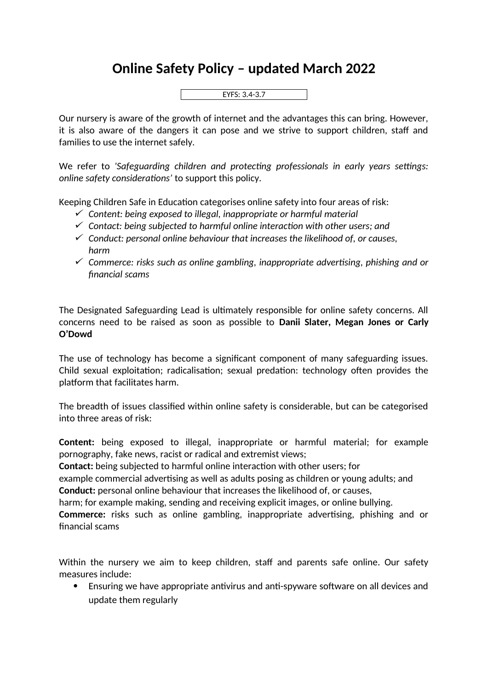## **Online Safety Policy – updated March 2022**



Our nursery is aware of the growth of internet and the advantages this can bring. However, it is also aware of the dangers it can pose and we strive to support children, staff and families to use the internet safely.

We refer to *'Safeguarding children and protecting professionals in early years settings: online safety considerations'* to support this policy.

Keeping Children Safe in Education categorises online safety into four areas of risk:

- *Content: being exposed to illegal, inappropriate or harmful material*
- *Contact: being subjected to harmful online interaction with other users; and*
- *Conduct: personal online behaviour that increases the likelihood of, or causes, harm*
- *Commerce: risks such as online gambling, inappropriate advertising, phishing and or financial scams*

The Designated Safeguarding Lead is ultimately responsible for online safety concerns. All concerns need to be raised as soon as possible to **Danii Slater, Megan Jones or Carly O'Dowd**

The use of technology has become a significant component of many safeguarding issues. Child sexual exploitation; radicalisation; sexual predation: technology often provides the platform that facilitates harm.

The breadth of issues classified within online safety is considerable, but can be categorised into three areas of risk:

**Content:** being exposed to illegal, inappropriate or harmful material; for example pornography, fake news, racist or radical and extremist views;

**Contact:** being subjected to harmful online interaction with other users; for

example commercial advertising as well as adults posing as children or young adults; and **Conduct:** personal online behaviour that increases the likelihood of, or causes,

harm; for example making, sending and receiving explicit images, or online bullying.

**Commerce:** risks such as online gambling, inappropriate advertising, phishing and or financial scams

Within the nursery we aim to keep children, staff and parents safe online. Our safety measures include:

 Ensuring we have appropriate antivirus and anti-spyware software on all devices and update them regularly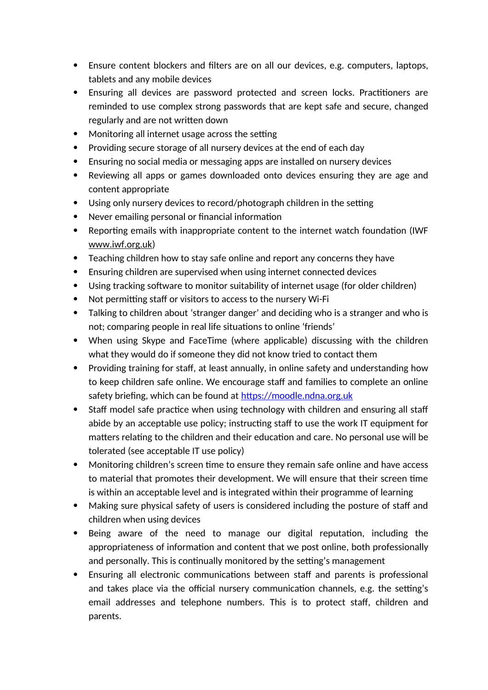- Ensure content blockers and filters are on all our devices, e.g. computers, laptops, tablets and any mobile devices
- Ensuring all devices are password protected and screen locks. Practitioners are reminded to use complex strong passwords that are kept safe and secure, changed regularly and are not written down
- Monitoring all internet usage across the setting
- Providing secure storage of all nursery devices at the end of each day
- Ensuring no social media or messaging apps are installed on nursery devices
- Reviewing all apps or games downloaded onto devices ensuring they are age and content appropriate
- Using only nursery devices to record/photograph children in the setting
- Never emailing personal or financial information
- Reporting emails with inappropriate content to the internet watch foundation (IWF www.iwf.org.uk)
- Teaching children how to stay safe online and report any concerns they have
- Ensuring children are supervised when using internet connected devices
- Using tracking software to monitor suitability of internet usage (for older children)
- Not permitting staff or visitors to access to the nursery Wi-Fi
- Talking to children about 'stranger danger' and deciding who is a stranger and who is not; comparing people in real life situations to online 'friends'
- When using Skype and FaceTime (where applicable) discussing with the children what they would do if someone they did not know tried to contact them
- Providing training for staff, at least annually, in online safety and understanding how to keep children safe online. We encourage staff and families to complete an online safety briefing, which can be found at [https://moodle.ndna.org.uk](https://moodle.ndna.org.uk/course/index.php?categoryid=27)
- Staff model safe practice when using technology with children and ensuring all staff abide by an acceptable use policy; instructing staff to use the work IT equipment for matters relating to the children and their education and care. No personal use will be tolerated (see acceptable IT use policy)
- Monitoring children's screen time to ensure they remain safe online and have access to material that promotes their development. We will ensure that their screen time is within an acceptable level and is integrated within their programme of learning
- Making sure physical safety of users is considered including the posture of staff and children when using devices
- Being aware of the need to manage our digital reputation, including the appropriateness of information and content that we post online, both professionally and personally. This is continually monitored by the setting's management
- Ensuring all electronic communications between staff and parents is professional and takes place via the official nursery communication channels, e.g. the setting's email addresses and telephone numbers. This is to protect staff, children and parents.